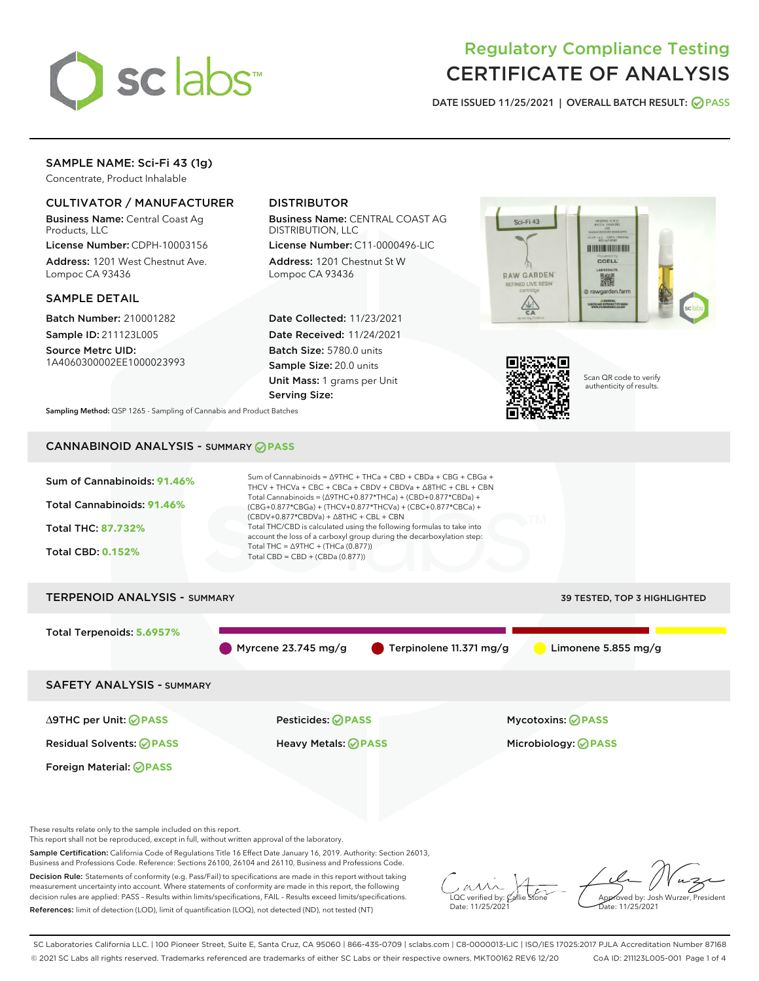

# Regulatory Compliance Testing CERTIFICATE OF ANALYSIS

DATE ISSUED 11/25/2021 | OVERALL BATCH RESULT: @ PASS

## SAMPLE NAME: Sci-Fi 43 (1g)

Concentrate, Product Inhalable

## CULTIVATOR / MANUFACTURER

Business Name: Central Coast Ag Products, LLC

License Number: CDPH-10003156 Address: 1201 West Chestnut Ave. Lompoc CA 93436

#### SAMPLE DETAIL

Batch Number: 210001282 Sample ID: 211123L005

Source Metrc UID: 1A4060300002EE1000023993

## DISTRIBUTOR

Business Name: CENTRAL COAST AG DISTRIBUTION, LLC

License Number: C11-0000496-LIC Address: 1201 Chestnut St W Lompoc CA 93436

Date Collected: 11/23/2021 Date Received: 11/24/2021 Batch Size: 5780.0 units Sample Size: 20.0 units Unit Mass: 1 grams per Unit Serving Size:





Scan QR code to verify authenticity of results.

Sampling Method: QSP 1265 - Sampling of Cannabis and Product Batches

## CANNABINOID ANALYSIS - SUMMARY **PASS**



Decision Rule: Statements of conformity (e.g. Pass/Fail) to specifications are made in this report without taking measurement uncertainty into account. Where statements of conformity are made in this report, the following decision rules are applied: PASS – Results within limits/specifications, FAIL – Results exceed limits/specifications. References: limit of detection (LOD), limit of quantification (LOQ), not detected (ND), not tested (NT)

 $\sim$  CC verified by:  $\mathcal{C}_i$ Date: 11/25/2021

Approved by: Josh Wurzer, President ate: 11/25/2021

SC Laboratories California LLC. | 100 Pioneer Street, Suite E, Santa Cruz, CA 95060 | 866-435-0709 | sclabs.com | C8-0000013-LIC | ISO/IES 17025:2017 PJLA Accreditation Number 87168 © 2021 SC Labs all rights reserved. Trademarks referenced are trademarks of either SC Labs or their respective owners. MKT00162 REV6 12/20 CoA ID: 211123L005-001 Page 1 of 4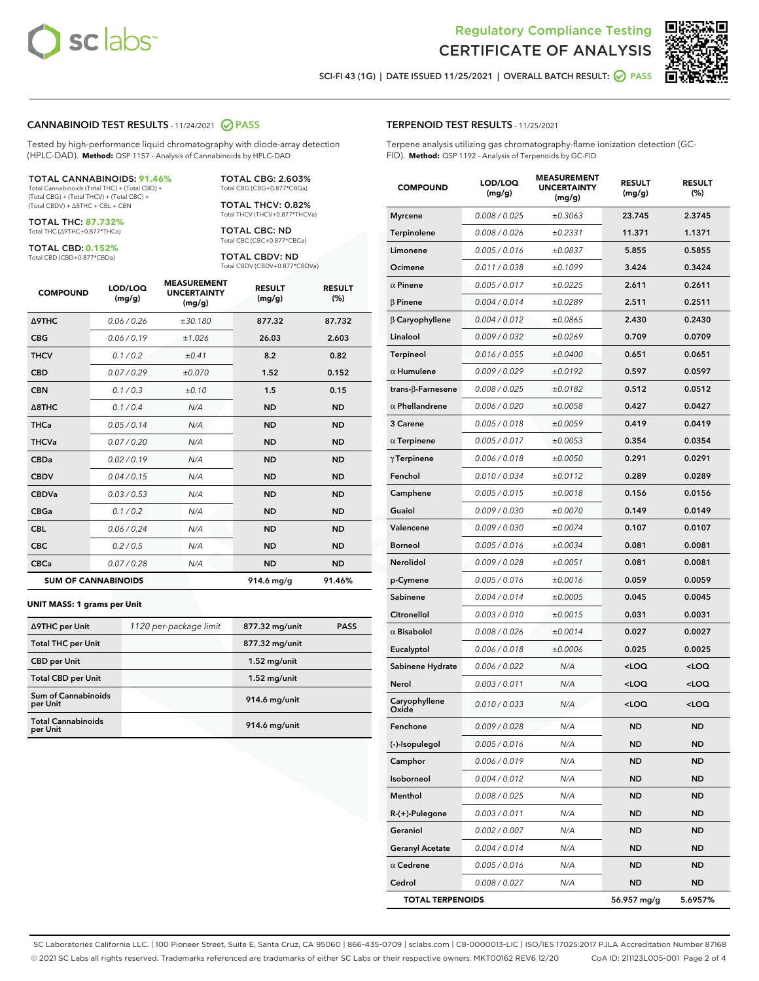



SCI-FI 43 (1G) | DATE ISSUED 11/25/2021 | OVERALL BATCH RESULT: 2 PASS

#### CANNABINOID TEST RESULTS - 11/24/2021 2 PASS

Tested by high-performance liquid chromatography with diode-array detection (HPLC-DAD). **Method:** QSP 1157 - Analysis of Cannabinoids by HPLC-DAD

#### TOTAL CANNABINOIDS: **91.46%**

Total Cannabinoids (Total THC) + (Total CBD) + (Total CBG) + (Total THCV) + (Total CBC) + (Total CBDV) + ∆8THC + CBL + CBN

TOTAL THC: **87.732%** Total THC (∆9THC+0.877\*THCa)

TOTAL CBD: **0.152%**

Total CBD (CBD+0.877\*CBDa)

TOTAL CBG: 2.603% Total CBG (CBG+0.877\*CBGa)

TOTAL THCV: 0.82% Total THCV (THCV+0.877\*THCVa)

TOTAL CBC: ND Total CBC (CBC+0.877\*CBCa)

TOTAL CBDV: ND Total CBDV (CBDV+0.877\*CBDVa)

| <b>COMPOUND</b>  | LOD/LOQ<br>(mg/g)          | <b>MEASUREMENT</b><br><b>UNCERTAINTY</b><br>(mg/g) | <b>RESULT</b><br>(mg/g) | <b>RESULT</b><br>(%) |
|------------------|----------------------------|----------------------------------------------------|-------------------------|----------------------|
| <b>A9THC</b>     | 0.06 / 0.26                | ±30.180                                            | 877.32                  | 87.732               |
| <b>CBG</b>       | 0.06/0.19                  | ±1.026                                             | 26.03                   | 2.603                |
| <b>THCV</b>      | 0.1 / 0.2                  | ±0.41                                              | 8.2                     | 0.82                 |
| <b>CBD</b>       | 0.07/0.29                  | ±0.070                                             | 1.52                    | 0.152                |
| <b>CBN</b>       | 0.1/0.3                    | ±0.10                                              | 1.5                     | 0.15                 |
| $\triangle$ 8THC | 0.1/0.4                    | N/A                                                | <b>ND</b>               | <b>ND</b>            |
| <b>THCa</b>      | 0.05/0.14                  | N/A                                                | <b>ND</b>               | <b>ND</b>            |
| <b>THCVa</b>     | 0.07/0.20                  | N/A                                                | <b>ND</b>               | <b>ND</b>            |
| <b>CBDa</b>      | 0.02/0.19                  | N/A                                                | <b>ND</b>               | <b>ND</b>            |
| <b>CBDV</b>      | 0.04/0.15                  | N/A                                                | <b>ND</b>               | <b>ND</b>            |
| <b>CBDVa</b>     | 0.03/0.53                  | N/A                                                | <b>ND</b>               | <b>ND</b>            |
| <b>CBGa</b>      | 0.1/0.2                    | N/A                                                | <b>ND</b>               | <b>ND</b>            |
| <b>CBL</b>       | 0.06 / 0.24                | N/A                                                | <b>ND</b>               | <b>ND</b>            |
| <b>CBC</b>       | 0.2 / 0.5                  | N/A                                                | <b>ND</b>               | <b>ND</b>            |
| <b>CBCa</b>      | 0.07 / 0.28                | N/A                                                | <b>ND</b>               | <b>ND</b>            |
|                  | <b>SUM OF CANNABINOIDS</b> |                                                    | $914.6$ mg/g            | 91.46%               |

#### **UNIT MASS: 1 grams per Unit**

| ∆9THC per Unit                         | 1120 per-package limit | 877.32 mg/unit | <b>PASS</b> |
|----------------------------------------|------------------------|----------------|-------------|
| <b>Total THC per Unit</b>              |                        | 877.32 mg/unit |             |
| <b>CBD</b> per Unit                    |                        | $1.52$ mg/unit |             |
| <b>Total CBD per Unit</b>              |                        | $1.52$ mg/unit |             |
| <b>Sum of Cannabinoids</b><br>per Unit |                        | 914.6 mg/unit  |             |
| <b>Total Cannabinoids</b><br>per Unit  |                        | 914.6 mg/unit  |             |

| <b>COMPOUND</b>         | LOD/LOQ<br>(mg/g) | NJUKEN<br><b>UNCERTAINTY</b><br>(mg/g) | <b>RESULT</b><br>(mg/g)                         | <b>RESULT</b><br>$(\%)$ |
|-------------------------|-------------------|----------------------------------------|-------------------------------------------------|-------------------------|
| <b>Myrcene</b>          | 0.008 / 0.025     | ±0.3063                                | 23.745                                          | 2.3745                  |
| Terpinolene             | 0.008 / 0.026     | ±0.2331                                | 11.371                                          | 1.1371                  |
| Limonene                | 0.005 / 0.016     | ±0.0837                                | 5.855                                           | 0.5855                  |
| Ocimene                 | 0.011 / 0.038     | ±0.1099                                | 3.424                                           | 0.3424                  |
| $\alpha$ Pinene         | 0.005 / 0.017     | ±0.0225                                | 2.611                                           | 0.2611                  |
| β Pinene                | 0.004 / 0.014     | ±0.0289                                | 2.511                                           | 0.2511                  |
| $\beta$ Caryophyllene   | 0.004 / 0.012     | ±0.0865                                | 2.430                                           | 0.2430                  |
| Linalool                | 0.009 / 0.032     | ±0.0269                                | 0.709                                           | 0.0709                  |
| Terpineol               | 0.016 / 0.055     | ±0.0400                                | 0.651                                           | 0.0651                  |
| $\alpha$ Humulene       | 0.009/0.029       | ±0.0192                                | 0.597                                           | 0.0597                  |
| trans-β-Farnesene       | 0.008 / 0.025     | ±0.0182                                | 0.512                                           | 0.0512                  |
| $\alpha$ Phellandrene   | 0.006 / 0.020     | ±0.0058                                | 0.427                                           | 0.0427                  |
| 3 Carene                | 0.005 / 0.018     | ±0.0059                                | 0.419                                           | 0.0419                  |
| $\alpha$ Terpinene      | 0.005 / 0.017     | ±0.0053                                | 0.354                                           | 0.0354                  |
| $\gamma$ Terpinene      | 0.006 / 0.018     | ±0.0050                                | 0.291                                           | 0.0291                  |
| Fenchol                 | 0.010 / 0.034     | ±0.0112                                | 0.289                                           | 0.0289                  |
| Camphene                | 0.005 / 0.015     | ±0.0018                                | 0.156                                           | 0.0156                  |
| Guaiol                  | 0.009 / 0.030     | ±0.0070                                | 0.149                                           | 0.0149                  |
| Valencene               | 0.009 / 0.030     | ±0.0074                                | 0.107                                           | 0.0107                  |
| <b>Borneol</b>          | 0.005 / 0.016     | ±0.0034                                | 0.081                                           | 0.0081                  |
| Nerolidol               | 0.009 / 0.028     | ±0.0051                                | 0.081                                           | 0.0081                  |
| p-Cymene                | 0.005 / 0.016     | ±0.0016                                | 0.059                                           | 0.0059                  |
| Sabinene                | 0.004 / 0.014     | ±0.0005                                | 0.045                                           | 0.0045                  |
| Citronellol             | 0.003 / 0.010     | ±0.0015                                | 0.031                                           | 0.0031                  |
| $\alpha$ Bisabolol      | 0.008 / 0.026     | ±0.0014                                | 0.027                                           | 0.0027                  |
| Eucalyptol              | 0.006 / 0.018     | ±0.0006                                | 0.025                                           | 0.0025                  |
| Sabinene Hydrate        | 0.006 / 0.022     | N/A                                    | <loq< th=""><th><loq< th=""></loq<></th></loq<> | <loq< th=""></loq<>     |
| Nerol                   | 0.003 / 0.011     | N/A                                    | <loq< th=""><th><loq< th=""></loq<></th></loq<> | <loq< th=""></loq<>     |
| Caryophyllene<br>Oxide  | 0.010 / 0.033     | N/A                                    | <loq< th=""><th><loq< th=""></loq<></th></loq<> | <loq< th=""></loq<>     |
| Fenchone                | 0.009 / 0.028     | N/A                                    | <b>ND</b>                                       | <b>ND</b>               |
| (-)-Isopulegol          | 0.005 / 0.016     | N/A                                    | ND                                              | ND                      |
| Camphor                 | 0.006 / 0.019     | N/A                                    | ND                                              | ND                      |
| Isoborneol              | 0.004 / 0.012     | N/A                                    | <b>ND</b>                                       | ND                      |
| Menthol                 | 0.008 / 0.025     | N/A                                    | ND                                              | ND                      |
| R-(+)-Pulegone          | 0.003 / 0.011     | N/A                                    | ND                                              | <b>ND</b>               |
| Geraniol                | 0.002 / 0.007     | N/A                                    | <b>ND</b>                                       | ND                      |
| <b>Geranyl Acetate</b>  | 0.004 / 0.014     | N/A                                    | ND                                              | ND                      |
| $\alpha$ Cedrene        | 0.005 / 0.016     | N/A                                    | ND                                              | ND                      |
| Cedrol                  | 0.008 / 0.027     | N/A                                    | <b>ND</b>                                       | ND                      |
| <b>TOTAL TERPENOIDS</b> |                   |                                        | 56.957 mg/g                                     | 5.6957%                 |

SC Laboratories California LLC. | 100 Pioneer Street, Suite E, Santa Cruz, CA 95060 | 866-435-0709 | sclabs.com | C8-0000013-LIC | ISO/IES 17025:2017 PJLA Accreditation Number 87168 © 2021 SC Labs all rights reserved. Trademarks referenced are trademarks of either SC Labs or their respective owners. MKT00162 REV6 12/20 CoA ID: 211123L005-001 Page 2 of 4

## TERPENOID TEST RESULTS - 11/25/2021

Terpene analysis utilizing gas chromatography-flame ionization detection (GC-FID). **Method:** QSP 1192 - Analysis of Terpenoids by GC-FID

MEASUREMENT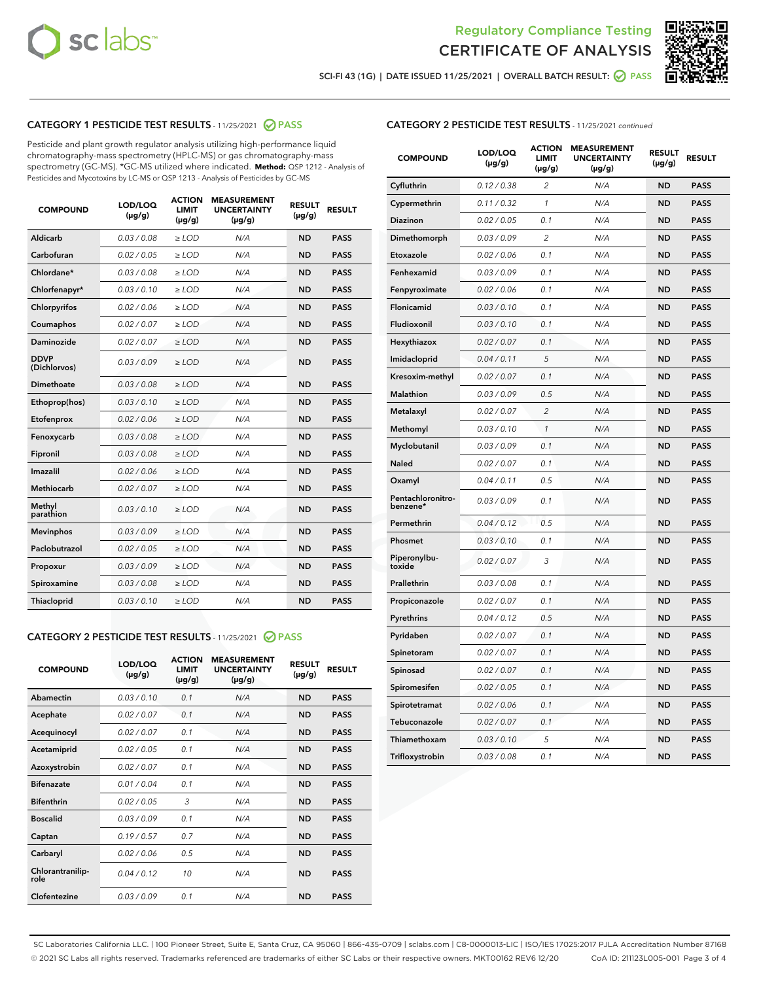



SCI-FI 43 (1G) | DATE ISSUED 11/25/2021 | OVERALL BATCH RESULT: O PASS

## CATEGORY 1 PESTICIDE TEST RESULTS - 11/25/2021 2 PASS

Pesticide and plant growth regulator analysis utilizing high-performance liquid chromatography-mass spectrometry (HPLC-MS) or gas chromatography-mass spectrometry (GC-MS). \*GC-MS utilized where indicated. **Method:** QSP 1212 - Analysis of Pesticides and Mycotoxins by LC-MS or QSP 1213 - Analysis of Pesticides by GC-MS

| <b>COMPOUND</b>             | LOD/LOQ<br>$(\mu g/g)$ | <b>ACTION</b><br><b>LIMIT</b><br>$(\mu g/g)$ | <b>MEASUREMENT</b><br><b>UNCERTAINTY</b><br>$(\mu g/g)$ | <b>RESULT</b><br>$(\mu g/g)$ | <b>RESULT</b> |
|-----------------------------|------------------------|----------------------------------------------|---------------------------------------------------------|------------------------------|---------------|
| Aldicarb                    | 0.03 / 0.08            | $\ge$ LOD                                    | N/A                                                     | <b>ND</b>                    | <b>PASS</b>   |
| Carbofuran                  | 0.02 / 0.05            | $\ge$ LOD                                    | N/A                                                     | <b>ND</b>                    | <b>PASS</b>   |
| Chlordane*                  | 0.03 / 0.08            | $\ge$ LOD                                    | N/A                                                     | <b>ND</b>                    | <b>PASS</b>   |
| Chlorfenapyr*               | 0.03/0.10              | $\ge$ LOD                                    | N/A                                                     | <b>ND</b>                    | <b>PASS</b>   |
| Chlorpyrifos                | 0.02 / 0.06            | $\ge$ LOD                                    | N/A                                                     | <b>ND</b>                    | <b>PASS</b>   |
| Coumaphos                   | 0.02 / 0.07            | $\ge$ LOD                                    | N/A                                                     | <b>ND</b>                    | <b>PASS</b>   |
| Daminozide                  | 0.02 / 0.07            | $\ge$ LOD                                    | N/A                                                     | <b>ND</b>                    | <b>PASS</b>   |
| <b>DDVP</b><br>(Dichlorvos) | 0.03/0.09              | $>$ LOD                                      | N/A                                                     | <b>ND</b>                    | <b>PASS</b>   |
| Dimethoate                  | 0.03 / 0.08            | $\ge$ LOD                                    | N/A                                                     | <b>ND</b>                    | <b>PASS</b>   |
| Ethoprop(hos)               | 0.03/0.10              | $>$ LOD                                      | N/A                                                     | <b>ND</b>                    | <b>PASS</b>   |
| Etofenprox                  | 0.02 / 0.06            | $\ge$ LOD                                    | N/A                                                     | <b>ND</b>                    | <b>PASS</b>   |
| Fenoxycarb                  | 0.03 / 0.08            | $\ge$ LOD                                    | N/A                                                     | <b>ND</b>                    | <b>PASS</b>   |
| Fipronil                    | 0.03/0.08              | $\ge$ LOD                                    | N/A                                                     | <b>ND</b>                    | <b>PASS</b>   |
| Imazalil                    | 0.02 / 0.06            | $\geq$ LOD                                   | N/A                                                     | <b>ND</b>                    | <b>PASS</b>   |
| <b>Methiocarb</b>           | 0.02 / 0.07            | $\ge$ LOD                                    | N/A                                                     | <b>ND</b>                    | <b>PASS</b>   |
| Methyl<br>parathion         | 0.03/0.10              | $\ge$ LOD                                    | N/A                                                     | <b>ND</b>                    | <b>PASS</b>   |
| <b>Mevinphos</b>            | 0.03/0.09              | $\ge$ LOD                                    | N/A                                                     | <b>ND</b>                    | <b>PASS</b>   |
| Paclobutrazol               | 0.02 / 0.05            | $>$ LOD                                      | N/A                                                     | <b>ND</b>                    | <b>PASS</b>   |
| Propoxur                    | 0.03 / 0.09            | $\ge$ LOD                                    | N/A                                                     | <b>ND</b>                    | <b>PASS</b>   |
| Spiroxamine                 | 0.03 / 0.08            | $\ge$ LOD                                    | N/A                                                     | <b>ND</b>                    | <b>PASS</b>   |
| Thiacloprid                 | 0.03/0.10              | $\ge$ LOD                                    | N/A                                                     | <b>ND</b>                    | <b>PASS</b>   |

#### CATEGORY 2 PESTICIDE TEST RESULTS - 11/25/2021 @ PASS

| <b>COMPOUND</b>          | LOD/LOO<br>$(\mu g/g)$ | <b>ACTION</b><br><b>LIMIT</b><br>$(\mu g/g)$ | <b>MEASUREMENT</b><br><b>UNCERTAINTY</b><br>$(\mu g/g)$ | <b>RESULT</b><br>$(\mu g/g)$ | <b>RESULT</b> |
|--------------------------|------------------------|----------------------------------------------|---------------------------------------------------------|------------------------------|---------------|
| Abamectin                | 0.03/0.10              | 0.1                                          | N/A                                                     | <b>ND</b>                    | <b>PASS</b>   |
| Acephate                 | 0.02/0.07              | 0.1                                          | N/A                                                     | <b>ND</b>                    | <b>PASS</b>   |
| Acequinocyl              | 0.02/0.07              | 0.1                                          | N/A                                                     | <b>ND</b>                    | <b>PASS</b>   |
| Acetamiprid              | 0.02/0.05              | 0.1                                          | N/A                                                     | <b>ND</b>                    | <b>PASS</b>   |
| Azoxystrobin             | 0.02/0.07              | 0.1                                          | N/A                                                     | <b>ND</b>                    | <b>PASS</b>   |
| <b>Bifenazate</b>        | 0.01/0.04              | 0.1                                          | N/A                                                     | <b>ND</b>                    | <b>PASS</b>   |
| <b>Bifenthrin</b>        | 0.02/0.05              | 3                                            | N/A                                                     | <b>ND</b>                    | <b>PASS</b>   |
| <b>Boscalid</b>          | 0.03/0.09              | 0.1                                          | N/A                                                     | <b>ND</b>                    | <b>PASS</b>   |
| Captan                   | 0.19/0.57              | 0.7                                          | N/A                                                     | <b>ND</b>                    | <b>PASS</b>   |
| Carbaryl                 | 0.02/0.06              | 0.5                                          | N/A                                                     | <b>ND</b>                    | <b>PASS</b>   |
| Chlorantranilip-<br>role | 0.04/0.12              | 10                                           | N/A                                                     | <b>ND</b>                    | <b>PASS</b>   |
| Clofentezine             | 0.03/0.09              | 0.1                                          | N/A                                                     | <b>ND</b>                    | <b>PASS</b>   |

### CATEGORY 2 PESTICIDE TEST RESULTS - 11/25/2021 continued

| <b>COMPOUND</b>               | LOD/LOQ<br>(µg/g) | <b>ACTION</b><br>LIMIT<br>$(\mu g/g)$ | <b>MEASUREMENT</b><br><b>UNCERTAINTY</b><br>(µg/g) | <b>RESULT</b><br>(µg/g) | <b>RESULT</b> |
|-------------------------------|-------------------|---------------------------------------|----------------------------------------------------|-------------------------|---------------|
| Cyfluthrin                    | 0.12 / 0.38       | 2                                     | N/A                                                | ND                      | <b>PASS</b>   |
| Cypermethrin                  | 0.11 / 0.32       | $\mathbf{1}$                          | N/A                                                | ND                      | <b>PASS</b>   |
| Diazinon                      | 0.02 / 0.05       | 0.1                                   | N/A                                                | ND                      | <b>PASS</b>   |
| Dimethomorph                  | 0.03 / 0.09       | 2                                     | N/A                                                | ND                      | <b>PASS</b>   |
| Etoxazole                     | 0.02 / 0.06       | 0.1                                   | N/A                                                | ND                      | <b>PASS</b>   |
| Fenhexamid                    | 0.03 / 0.09       | 0.1                                   | N/A                                                | ND                      | <b>PASS</b>   |
| Fenpyroximate                 | 0.02 / 0.06       | 0.1                                   | N/A                                                | ND                      | <b>PASS</b>   |
| Flonicamid                    | 0.03 / 0.10       | 0.1                                   | N/A                                                | ND                      | <b>PASS</b>   |
| Fludioxonil                   | 0.03 / 0.10       | 0.1                                   | N/A                                                | ND                      | PASS          |
| Hexythiazox                   | 0.02 / 0.07       | 0.1                                   | N/A                                                | <b>ND</b>               | <b>PASS</b>   |
| Imidacloprid                  | 0.04 / 0.11       | 5                                     | N/A                                                | ND                      | <b>PASS</b>   |
| Kresoxim-methyl               | 0.02 / 0.07       | 0.1                                   | N/A                                                | ND                      | <b>PASS</b>   |
| Malathion                     | 0.03 / 0.09       | 0.5                                   | N/A                                                | ND                      | <b>PASS</b>   |
| Metalaxyl                     | 0.02 / 0.07       | $\overline{c}$                        | N/A                                                | <b>ND</b>               | <b>PASS</b>   |
| Methomyl                      | 0.03 / 0.10       | $\mathcal{I}$                         | N/A                                                | <b>ND</b>               | <b>PASS</b>   |
| Myclobutanil                  | 0.03 / 0.09       | 0.1                                   | N/A                                                | <b>ND</b>               | <b>PASS</b>   |
| Naled                         | 0.02 / 0.07       | 0.1                                   | N/A                                                | ND                      | <b>PASS</b>   |
| Oxamyl                        | 0.04 / 0.11       | 0.5                                   | N/A                                                | ND                      | PASS          |
| Pentachloronitro-<br>benzene* | 0.03 / 0.09       | 0.1                                   | N/A                                                | ND                      | <b>PASS</b>   |
| Permethrin                    | 0.04 / 0.12       | 0.5                                   | N/A                                                | <b>ND</b>               | <b>PASS</b>   |
| Phosmet                       | 0.03 / 0.10       | 0.1                                   | N/A                                                | <b>ND</b>               | <b>PASS</b>   |
| Piperonylbu-<br>toxide        | 0.02 / 0.07       | 3                                     | N/A                                                | ND                      | <b>PASS</b>   |
| Prallethrin                   | 0.03 / 0.08       | 0.1                                   | N/A                                                | <b>ND</b>               | <b>PASS</b>   |
| Propiconazole                 | 0.02 / 0.07       | 0.1                                   | N/A                                                | ND                      | <b>PASS</b>   |
| Pyrethrins                    | 0.04 / 0.12       | 0.5                                   | N/A                                                | ND                      | PASS          |
| Pyridaben                     | 0.02 / 0.07       | 0.1                                   | N/A                                                | ND                      | <b>PASS</b>   |
| Spinetoram                    | 0.02 / 0.07       | 0.1                                   | N/A                                                | ND                      | PASS          |
| Spinosad                      | 0.02 / 0.07       | 0.1                                   | N/A                                                | ND                      | PASS          |
| Spiromesifen                  | 0.02 / 0.05       | 0.1                                   | N/A                                                | <b>ND</b>               | <b>PASS</b>   |
| Spirotetramat                 | 0.02 / 0.06       | 0.1                                   | N/A                                                | ND                      | <b>PASS</b>   |
| Tebuconazole                  | 0.02 / 0.07       | 0.1                                   | N/A                                                | ND                      | PASS          |
| Thiamethoxam                  | 0.03 / 0.10       | 5                                     | N/A                                                | ND                      | <b>PASS</b>   |
| Trifloxystrobin               | 0.03 / 0.08       | 0.1                                   | N/A                                                | <b>ND</b>               | <b>PASS</b>   |

SC Laboratories California LLC. | 100 Pioneer Street, Suite E, Santa Cruz, CA 95060 | 866-435-0709 | sclabs.com | C8-0000013-LIC | ISO/IES 17025:2017 PJLA Accreditation Number 87168 © 2021 SC Labs all rights reserved. Trademarks referenced are trademarks of either SC Labs or their respective owners. MKT00162 REV6 12/20 CoA ID: 211123L005-001 Page 3 of 4